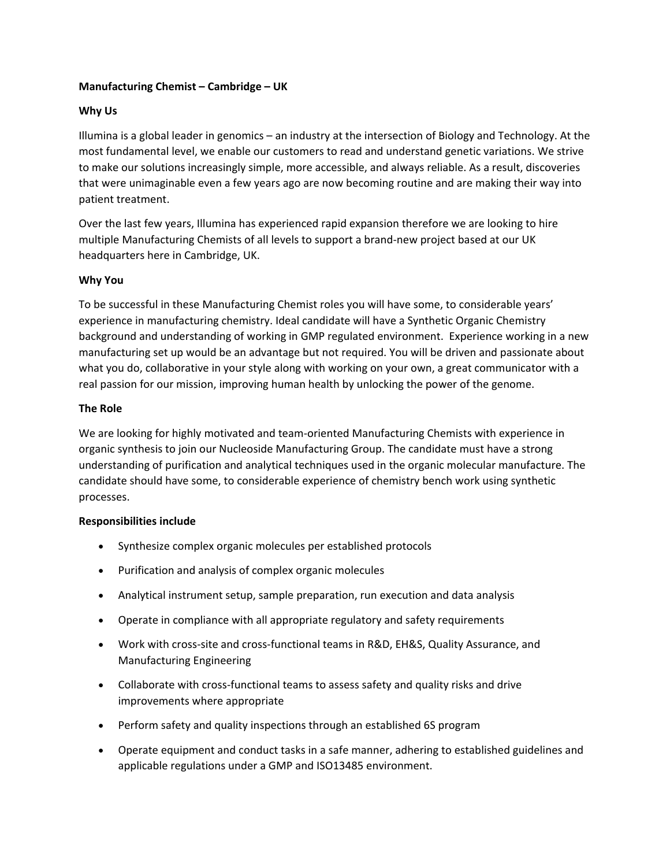## **Manufacturing Chemist – Cambridge – UK**

# **Why Us**

Illumina is a global leader in genomics – an industry at the intersection of Biology and Technology. At the most fundamental level, we enable our customers to read and understand genetic variations. We strive to make our solutions increasingly simple, more accessible, and always reliable. As a result, discoveries that were unimaginable even a few years ago are now becoming routine and are making their way into patient treatment.       

Over the last few years, Illumina has experienced rapid expansion therefore we are looking to hire multiple Manufacturing Chemists of all levels to support a brand-new project based at our UK headquarters here in Cambridge, UK.

## **Why You**

To be successful in these Manufacturing Chemist roles you will have some, to considerable years' experience in manufacturing chemistry. Ideal candidate will have a Synthetic Organic Chemistry background and understanding of working in GMP regulated environment. Experience working in a new manufacturing set up would be an advantage but not required. You will be driven and passionate about what you do, collaborative in your style along with working on your own, a great communicator with a real passion for our mission, improving human health by unlocking the power of the genome.

## **The Role**

We are looking for highly motivated and team-oriented Manufacturing Chemists with experience in organic synthesis to join our Nucleoside Manufacturing Group. The candidate must have a strong understanding of purification and analytical techniques used in the organic molecular manufacture. The candidate should have some, to considerable experience of chemistry bench work using synthetic processes.

## **Responsibilities include**

- Synthesize complex organic molecules per established protocols
- Purification and analysis of complex organic molecules
- Analytical instrument setup, sample preparation, run execution and data analysis
- Operate in compliance with all appropriate regulatory and safety requirements
- Work with cross-site and cross-functional teams in R&D, EH&S, Quality Assurance, and Manufacturing Engineering
- Collaborate with cross-functional teams to assess safety and quality risks and drive improvements where appropriate
- Perform safety and quality inspections through an established 6S program
- Operate equipment and conduct tasks in a safe manner, adhering to established guidelines and applicable regulations under a GMP and ISO13485 environment.